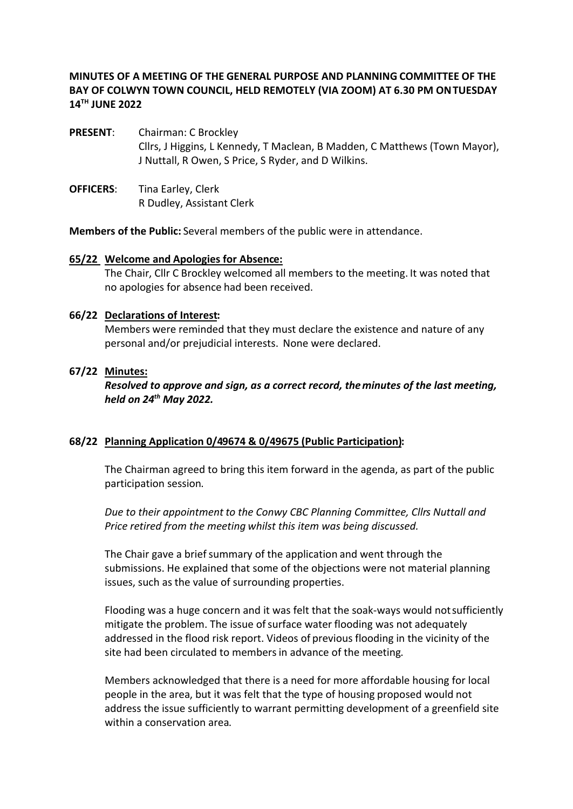### **MINUTES OF A MEETING OF THE GENERAL PURPOSE AND PLANNING COMMITTEE OF THE BAY OF COLWYN TOWN COUNCIL, HELD REMOTELY (VIA ZOOM) AT 6.30 PM ON TUESDAY 14TH JUNE 2022**

- **PRESENT:** Chairman: C Brockley Cllrs, J Higgins, L Kennedy, T Maclean, B Madden, C Matthews (Town Mayor), J Nuttall, R Owen, S Price, S Ryder, and D Wilkins.
- **OFFICERS:** Tina Earley, Clerk R Dudley, Assistant Clerk

**Members of the Public:** Several members of the public were in attendance.

#### **65/22 Welcome and Apologies for Absence:**

The Chair, Cllr C Brockley welcomed all members to the meeting. It was noted that no apologies for absence had been received.

#### **66/22 Declarations of Interest:**

Members were reminded that they must declare the existence and nature of any personal and/or prejudicial interests. None were declared.

#### **67/22 Minutes:**

*Resolved to approve and sign, as a correct record, the minutes of the last meeting, held on 24th May 2022.*

#### **68/22 Planning Application 0/49674 & 0/49675 (Public Participation):**

The Chairman agreed to bring this item forward in the agenda, as part of the public participation session.

*Due to their appointment to the Conwy CBC Planning Committee, Cllrs Nuttall and Price retired from the meeting whilst this item was being discussed.*

The Chair gave a brief summary of the application and went through the submissions. He explained that some of the objections were not material planning issues, such as the value of surrounding properties.

Flooding was a huge concern and it was felt that the soak-ways would not sufficiently mitigate the problem. The issue of surface water flooding was not adequately addressed in the flood risk report. Videos of previous flooding in the vicinity of the site had been circulated to members in advance of the meeting.

Members acknowledged that there is a need for more affordable housing for local people in the area, but it was felt that the type of housing proposed would not address the issue sufficiently to warrant permitting development of a greenfield site within a conservation area.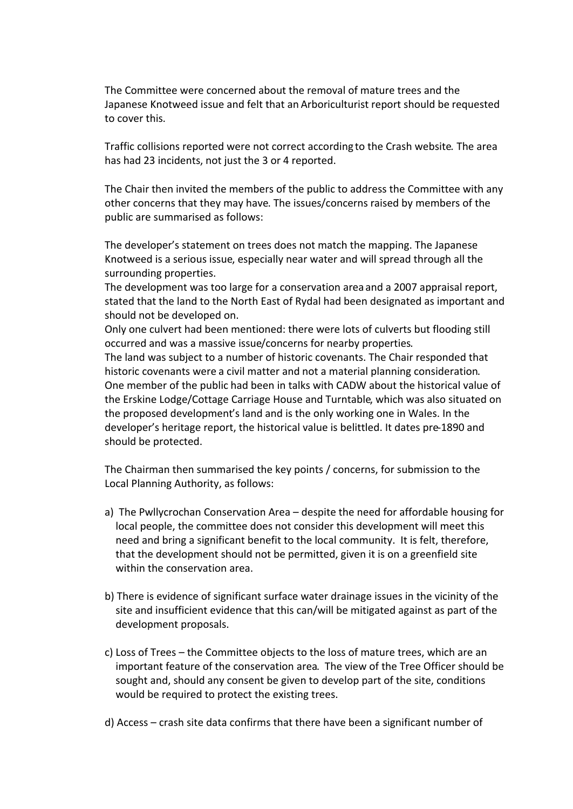The Committee were concerned about the removal of mature trees and the Japanese Knotweed issue and felt that an Arboriculturist report should be requested to cover this.

Traffic collisions reported were not correct according to the Crash website*.* The area has had 23 incidents, not just the 3 or 4 reported.

The Chair then invited the members of the public to address the Committee with any other concerns that they may have. The issues/concerns raised by members of the public are summarised as follows:

The developer's statement on trees does not match the mapping. The Japanese Knotweed is a serious issue, especially near water and will spread through all the surrounding properties.

The development was too large for a conservation area and a 2007 appraisal report, stated that the land to the North East of Rydal had been designated as important and should not be developed on.

Only one culvert had been mentioned: there were lots of culverts but flooding still occurred and was a massive issue/concerns for nearby properties.

The land was subject to a number of historic covenants. The Chair responded that historic covenants were a civil matter and not a material planning consideration. One member of the public had been in talks with CADW about the historical value of the Erskine Lodge/Cottage Carriage House and Turntable, which was also situated on the proposed development's land and is the only working one in Wales. In the developer's heritage report, the historical value is belittled. It dates pre-1890 and should be protected.

The Chairman then summarised the key points / concerns, for submission to the Local Planning Authority, as follows:

- a) The Pwllycrochan Conservation Area despite the need for affordable housing for local people, the committee does not consider this development will meet this need and bring a significant benefit to the local community. It is felt, therefore, that the development should not be permitted, given it is on a greenfield site within the conservation area.
- b) There is evidence of significant surface water drainage issues in the vicinity of the site and insufficient evidence that this can/will be mitigated against as part of the development proposals.
- c) Loss of Trees the Committee objects to the loss of mature trees, which are an important feature of the conservation area. The view of the Tree Officer should be sought and, should any consent be given to develop part of the site, conditions would be required to protect the existing trees.
- d) Access crash site data confirms that there have been a significant number of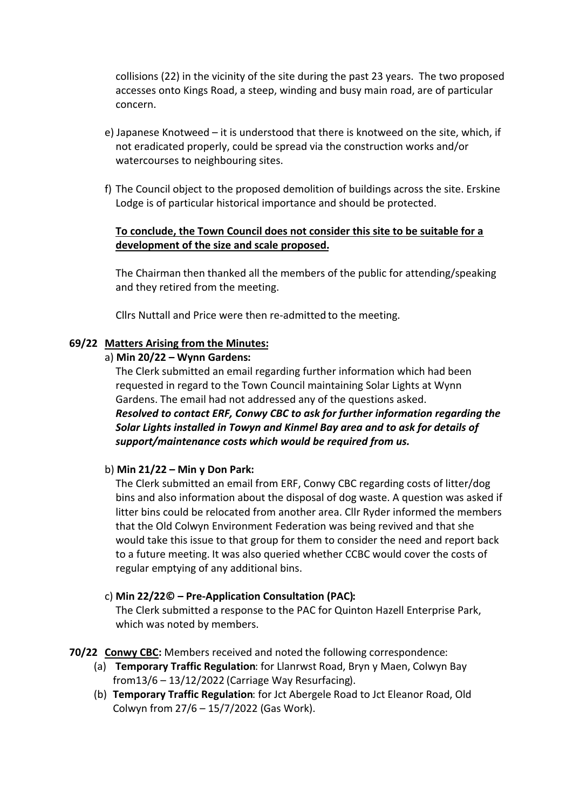collisions (22) in the vicinity of the site during the past 23 years. The two proposed accesses onto Kings Road, a steep, winding and busy main road, are of particular concern.

- e) Japanese Knotweed it is understood that there is knotweed on the site, which, if not eradicated properly, could be spread via the construction works and/or watercourses to neighbouring sites.
- f) The Council object to the proposed demolition of buildings across the site. Erskine Lodge is of particular historical importance and should be protected.

### **To conclude, the Town Council does not consider this site to be suitable for a development of the size and scale proposed.**

The Chairman then thanked all the members of the public for attending/speaking and they retired from the meeting.

Cllrs Nuttall and Price were then re-admitted to the meeting.

#### **69/22 Matters Arising from the Minutes:**

#### a) **Min 20/22 – Wynn Gardens:**

The Clerk submitted an email regarding further information which had been requested in regard to the Town Council maintaining Solar Lights at Wynn Gardens. The email had not addressed any of the questions asked. *Resolved to contact ERF, Conwy CBC to ask for further information regarding the Solar Lights installed in Towyn and Kinmel Bay area and to ask for details of support/maintenance costs which would be required from us.* 

### b) **Min 21/22 – Min y Don Park:**

The Clerk submitted an email from ERF, Conwy CBC regarding costs of litter/dog bins and also information about the disposal of dog waste. A question was asked if litter bins could be relocated from another area. Cllr Ryder informed the members that the Old Colwyn Environment Federation was being revived and that she would take this issue to that group for them to consider the need and report back to a future meeting. It was also queried whether CCBC would cover the costs of regular emptying of any additional bins.

### c) **Min 22/22© – Pre-Application Consultation (PAC):**

The Clerk submitted a response to the PAC for Quinton Hazell Enterprise Park, which was noted by members.

**70/22 Conwy CBC:** Members received and noted the following correspondence:

- (a) **Temporary Traffic Regulation**: for Llanrwst Road, Bryn y Maen, Colwyn Bay from13/6 – 13/12/2022 (Carriage Way Resurfacing).
- (b) **Temporary Traffic Regulation**: for Jct Abergele Road to Jct Eleanor Road, Old Colwyn from 27/6 – 15/7/2022 (Gas Work).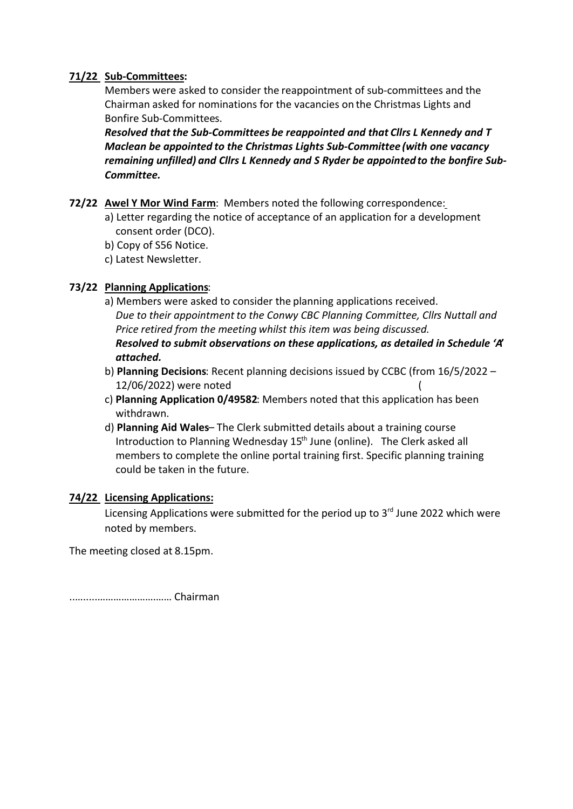# **71/22 Sub-Committees:**

Members were asked to consider the reappointment of sub-committees and the Chairman asked for nominations for the vacancies on the Christmas Lights and Bonfire Sub-Committees.

*Resolved that the Sub-Committees be reappointed and that Cllrs L Kennedy and T Maclean be appointed to the Christmas Lights Sub-Committee (with one vacancy remaining unfilled) and Cllrs L Kennedy and S Ryder be appointed to the bonfire Sub-Committee.*

- **72/22 Awel Y Mor Wind Farm**: Members noted the following correspondence:
	- a) Letter regarding the notice of acceptance of an application for a development consent order (DCO).
	- b) Copy of S56 Notice.
	- c) Latest Newsletter.

# **73/22 Planning Applications**:

- a) Members were asked to consider the planning applications received. *Due to their appointment to the Conwy CBC Planning Committee, Cllrs Nuttall and Price retired from the meeting whilst this item was being discussed. Resolved to submit observations on these applications, as detailed in Schedule 'A' attached.*
- b) **Planning Decisions**: Recent planning decisions issued by CCBC (from 16/5/2022 12/06/2022) were noted (
- c) **Planning Application 0/49582**: Members noted that this application has been withdrawn.
- d) **Planning Aid Wales** The Clerk submitted details about a training course Introduction to Planning Wednesday 15<sup>th</sup> June (online). The Clerk asked all members to complete the online portal training first. Specific planning training could be taken in the future.

### **74/22 Licensing Applications:**

Licensing Applications were submitted for the period up to  $3<sup>rd</sup>$  June 2022 which were noted by members.

The meeting closed at 8.15pm.

..….....………………….…… Chairman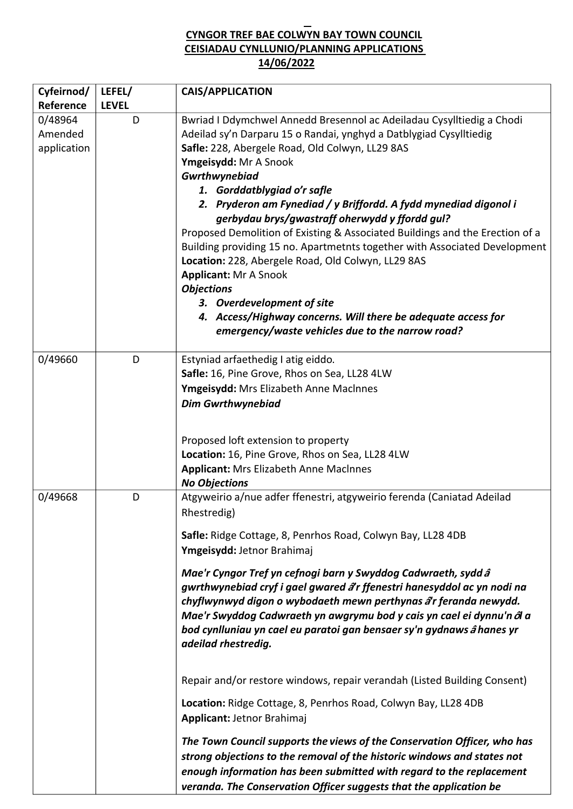# **CYNGOR TREF BAE COLWYN BAY TOWN COUNCIL CEISIADAU CYNLLUNIO/PLANNING APPLICATIONS 14/06/2022**

| Cyfeirnod/                        | LEFEL/       | <b>CAIS/APPLICATION</b>                                                                                                                                                                                                                                                                                                                                                                                                                                                                                                                                                                                                                                                                                                                                                                                                                                                                                                                                                                                                                                      |
|-----------------------------------|--------------|--------------------------------------------------------------------------------------------------------------------------------------------------------------------------------------------------------------------------------------------------------------------------------------------------------------------------------------------------------------------------------------------------------------------------------------------------------------------------------------------------------------------------------------------------------------------------------------------------------------------------------------------------------------------------------------------------------------------------------------------------------------------------------------------------------------------------------------------------------------------------------------------------------------------------------------------------------------------------------------------------------------------------------------------------------------|
| Reference                         | <b>LEVEL</b> |                                                                                                                                                                                                                                                                                                                                                                                                                                                                                                                                                                                                                                                                                                                                                                                                                                                                                                                                                                                                                                                              |
| 0/48964<br>Amended<br>application | D            | Bwriad I Ddymchwel Annedd Bresennol ac Adeiladau Cysylltiedig a Chodi<br>Adeilad sy'n Darparu 15 o Randai, ynghyd a Datblygiad Cysylltiedig<br>Safle: 228, Abergele Road, Old Colwyn, LL29 8AS<br>Ymgeisydd: Mr A Snook<br>Gwrthwynebiad<br>1. Gorddatblygiad o'r safle<br>2. Pryderon am Fynediad / y Briffordd. A fydd mynediad digonol i<br>gerbydau brys/gwastraff oherwydd y ffordd gul?<br>Proposed Demolition of Existing & Associated Buildings and the Erection of a<br>Building providing 15 no. Apartmetnts together with Associated Development<br>Location: 228, Abergele Road, Old Colwyn, LL29 8AS<br><b>Applicant: Mr A Snook</b><br><b>Objections</b><br>3. Overdevelopment of site<br>4. Access/Highway concerns. Will there be adequate access for<br>emergency/waste vehicles due to the narrow road?                                                                                                                                                                                                                                    |
| 0/49660                           | D            | Estyniad arfaethedig I atig eiddo.<br>Safle: 16, Pine Grove, Rhos on Sea, LL28 4LW<br>Ymgeisydd: Mrs Elizabeth Anne MacInnes<br><b>Dim Gwrthwynebiad</b><br>Proposed loft extension to property<br>Location: 16, Pine Grove, Rhos on Sea, LL28 4LW<br><b>Applicant: Mrs Elizabeth Anne MacInnes</b><br><b>No Objections</b>                                                                                                                                                                                                                                                                                                                                                                                                                                                                                                                                                                                                                                                                                                                                  |
| 0/49668                           | D            | Atgyweirio a/nue adfer ffenestri, atgyweirio ferenda (Caniatad Adeilad<br>Rhestredig)<br>Safle: Ridge Cottage, 8, Penrhos Road, Colwyn Bay, LL28 4DB<br>Ymgeisydd: Jetnor Brahimaj<br>Mae'r Cyngor Tref yn cefnogi barn y Swyddog Cadwraeth, sydd â<br>gwrthwynebiad cryf i gael gwared a'r ffenestri hanesyddol ac yn nodi na<br>chyflwynwyd digon o wybodaeth mewn perthynas â'r feranda newydd.<br>Mae'r Swyddog Cadwraeth yn awgrymu bod y cais yn cael ei dynnu'n ôl a<br>bod cynlluniau yn cael eu paratoi gan bensaer sy'n gydnaws â hanes yr<br>adeilad rhestredig.<br>Repair and/or restore windows, repair verandah (Listed Building Consent)<br>Location: Ridge Cottage, 8, Penrhos Road, Colwyn Bay, LL28 4DB<br>Applicant: Jetnor Brahimaj<br>The Town Council supports the views of the Conservation Officer, who has<br>strong objections to the removal of the historic windows and states not<br>enough information has been submitted with regard to the replacement<br>veranda. The Conservation Officer suggests that the application be |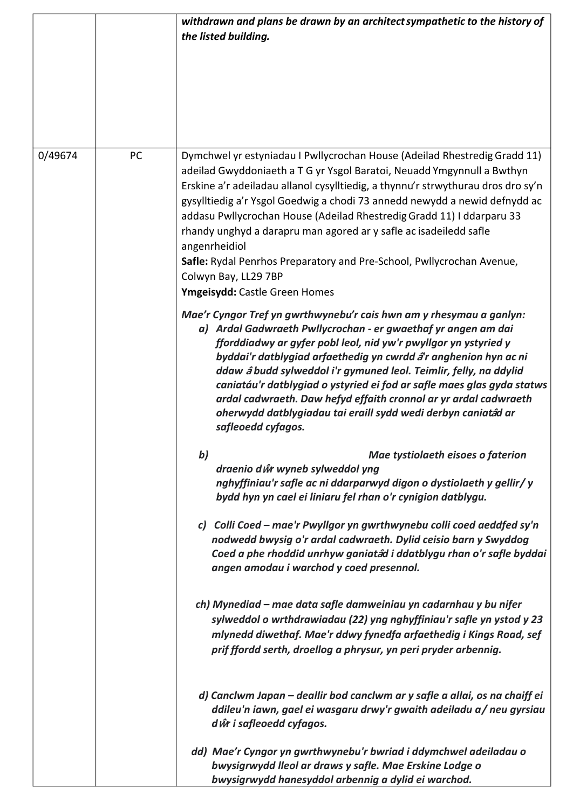|         |    | withdrawn and plans be drawn by an architect sympathetic to the history of<br>the listed building.                                                                                                                                                                                                                                                                                                                                                                                                                                                                                                                     |
|---------|----|------------------------------------------------------------------------------------------------------------------------------------------------------------------------------------------------------------------------------------------------------------------------------------------------------------------------------------------------------------------------------------------------------------------------------------------------------------------------------------------------------------------------------------------------------------------------------------------------------------------------|
| 0/49674 | PC | Dymchwel yr estyniadau I Pwllycrochan House (Adeilad Rhestredig Gradd 11)<br>adeilad Gwyddoniaeth a T G yr Ysgol Baratoi, Neuadd Ymgynnull a Bwthyn<br>Erskine a'r adeiladau allanol cysylltiedig, a thynnu'r strwythurau dros dro sy'n<br>gysylltiedig a'r Ysgol Goedwig a chodi 73 annedd newydd a newid defnydd ac<br>addasu Pwllycrochan House (Adeilad Rhestredig Gradd 11) I ddarparu 33<br>rhandy unghyd a darapru man agored ar y safle ac isadeiledd safle<br>angenrheidiol<br>Safle: Rydal Penrhos Preparatory and Pre-School, Pwllycrochan Avenue,<br>Colwyn Bay, LL29 7BP<br>Ymgeisydd: Castle Green Homes |
|         |    | Mae'r Cyngor Tref yn gwrthwynebu'r cais hwn am y rhesymau a ganlyn:<br>a) Ardal Gadwraeth Pwllycrochan - er gwaethaf yr angen am dai<br>fforddiadwy ar gyfer pobl leol, nid yw'r pwyllgor yn ystyried y<br>byddai'r datblygiad arfaethedig yn cwrdd â'r anghenion hyn ac ni<br>ddaw â budd sylweddol i'r gymuned leol. Teimlir, felly, na ddylid<br>caniatáu'r datblygiad o ystyried ei fod ar safle maes glas gyda statws<br>ardal cadwraeth. Daw hefyd effaith cronnol ar yr ardal cadwraeth<br>oherwydd datblygiadau tai eraill sydd wedi derbyn caniatâd ar<br>safleoedd cyfagos.                                  |
|         |    | b)<br>Mae tystiolaeth eisoes o faterion<br>draenio dŵ wyneb sylweddol yng<br>nghyffiniau'r safle ac ni ddarparwyd digon o dystiolaeth y gellir/y<br>bydd hyn yn cael ei liniaru fel rhan o'r cynigion datblygu.                                                                                                                                                                                                                                                                                                                                                                                                        |
|         |    | c) Colli Coed - mae'r Pwyllgor yn gwrthwynebu colli coed aeddfed sy'n<br>nodwedd bwysig o'r ardal cadwraeth. Dylid ceisio barn y Swyddog<br>Coed a phe rhoddid unrhyw ganiatád i ddatblygu rhan o'r safle byddai<br>angen amodau i warchod y coed presennol.                                                                                                                                                                                                                                                                                                                                                           |
|         |    | ch) Mynediad – mae data safle damweiniau yn cadarnhau y bu nifer<br>sylweddol o wrthdrawiadau (22) yng nghyffiniau'r safle yn ystod y 23<br>mlynedd diwethaf. Mae'r ddwy fynedfa arfaethedig i Kings Road, sef<br>prif ffordd serth, droellog a phrysur, yn peri pryder arbennig.                                                                                                                                                                                                                                                                                                                                      |
|         |    | d) Canclwm Japan – deallir bod canclwm ar y safle a allai, os na chaiff ei<br>ddileu'n iawn, gael ei wasgaru drwy'r gwaith adeiladu a/ neu gyrsiau<br>d ŵr i safleoedd cyfagos.                                                                                                                                                                                                                                                                                                                                                                                                                                        |
|         |    | dd) Mae'r Cyngor yn gwrthwynebu'r bwriad i ddymchwel adeiladau o<br>bwysigrwydd lleol ar draws y safle. Mae Erskine Lodge o<br>bwysigrwydd hanesyddol arbennig a dylid ei warchod.                                                                                                                                                                                                                                                                                                                                                                                                                                     |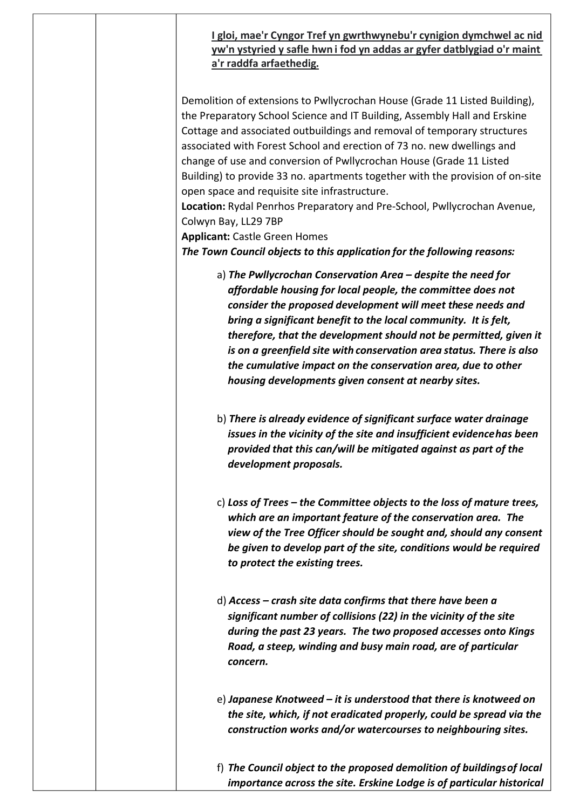# **I gloi, mae'r Cyngor Tref yn gwrthwynebu'r cynigion dymchwel ac nid yw'n ystyried y safle hwn i fod yn addas ar gyfer datblygiad o'r maint a'r raddfa arfaethedig.**

Demolition of extensions to Pwllycrochan House (Grade 11 Listed Building), the Preparatory School Science and IT Building, Assembly Hall and Erskine Cottage and associated outbuildings and removal of temporary structures associated with Forest School and erection of 73 no. new dwellings and change of use and conversion of Pwllycrochan House (Grade 11 Listed Building) to provide 33 no. apartments together with the provision of on-site open space and requisite site infrastructure.

**Location:** Rydal Penrhos Preparatory and Pre-School, Pwllycrochan Avenue, Colwyn Bay, LL29 7BP

**Applicant:** Castle Green Homes

*The Town Council objects to this application for the following reasons:* 

- a) *The Pwllycrochan Conservation Area – despite the need for affordable housing for local people, the committee does not consider the proposed development will meet these needs and bring a significant benefit to the local community. It is felt, therefore, that the development should not be permitted, given it is on a greenfield site with conservation area status. There is also the cumulative impact on the conservation area, due to other housing developments given consent at nearby sites.*
- b) *There is already evidence of significant surface water drainage issues in the vicinity of the site and insufficient evidence has been provided that this can/will be mitigated against as part of the development proposals.*
- c) *Loss of Trees – the Committee objects to the loss of mature trees, which are an important feature of the conservation area. The view of the Tree Officer should be sought and, should any consent be given to develop part of the site, conditions would be required to protect the existing trees.*
- d) *Access – crash site data confirms that there have been a significant number of collisions (22) in the vicinity of the site during the past 23 years. The two proposed accesses onto Kings Road, a steep, winding and busy main road, are of particular concern.*
- e) *Japanese Knotweed – it is understood that there is knotweed on the site, which, if not eradicated properly, could be spread via the construction works and/or watercourses to neighbouring sites.*

f) *The Council object to the proposed demolition of buildings of local importance across the site. Erskine Lodge is of particular historical*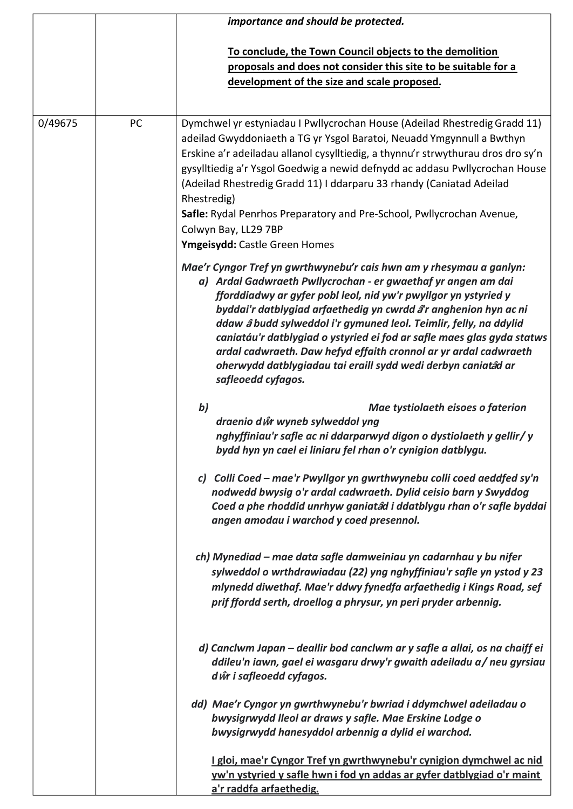|         |    | importance and should be protected.                                                                                                                                                                                                                                                                                                                                                                                                                                                                                                                                                   |
|---------|----|---------------------------------------------------------------------------------------------------------------------------------------------------------------------------------------------------------------------------------------------------------------------------------------------------------------------------------------------------------------------------------------------------------------------------------------------------------------------------------------------------------------------------------------------------------------------------------------|
|         |    | To conclude, the Town Council objects to the demolition<br>proposals and does not consider this site to be suitable for a<br>development of the size and scale proposed.                                                                                                                                                                                                                                                                                                                                                                                                              |
| 0/49675 | PC | Dymchwel yr estyniadau I Pwllycrochan House (Adeilad Rhestredig Gradd 11)<br>adeilad Gwyddoniaeth a TG yr Ysgol Baratoi, Neuadd Ymgynnull a Bwthyn<br>Erskine a'r adeiladau allanol cysylltiedig, a thynnu'r strwythurau dros dro sy'n<br>gysylltiedig a'r Ysgol Goedwig a newid defnydd ac addasu Pwllycrochan House<br>(Adeilad Rhestredig Gradd 11) I ddarparu 33 rhandy (Caniatad Adeilad<br>Rhestredig)<br>Safle: Rydal Penrhos Preparatory and Pre-School, Pwllycrochan Avenue,<br>Colwyn Bay, LL29 7BP<br>Ymgeisydd: Castle Green Homes                                        |
|         |    | Mae'r Cyngor Tref yn gwrthwynebu'r cais hwn am y rhesymau a ganlyn:<br>a) Ardal Gadwraeth Pwllycrochan - er gwaethaf yr angen am dai<br>fforddiadwy ar gyfer pobl leol, nid yw'r pwyllgor yn ystyried y<br>byddai'r datblygiad arfaethedig yn cwrdd â'r anghenion hyn ac ni<br>ddaw â budd sylweddol i'r gymuned leol. Teimlir, felly, na ddylid<br>caniatáu'r datblygiad o ystyried ei fod ar safle maes glas gyda statws<br>ardal cadwraeth. Daw hefyd effaith cronnol ar yr ardal cadwraeth<br>oherwydd datblygiadau tai eraill sydd wedi derbyn caniatâd ar<br>safleoedd cyfagos. |
|         |    | b)<br>Mae tystiolaeth eisoes o faterion<br>draenio dŵ wyneb sylweddol yng<br>nghyffiniau'r safle ac ni ddarparwyd digon o dystiolaeth y gellir/y<br>bydd hyn yn cael ei liniaru fel rhan o'r cynigion datblygu.                                                                                                                                                                                                                                                                                                                                                                       |
|         |    | c) Colli Coed - mae'r Pwyllgor yn gwrthwynebu colli coed aeddfed sy'n<br>nodwedd bwysig o'r ardal cadwraeth. Dylid ceisio barn y Swyddog<br>Coed a phe rhoddid unrhyw ganiatâd i ddatblygu rhan o'r safle byddai<br>angen amodau i warchod y coed presennol.                                                                                                                                                                                                                                                                                                                          |
|         |    | ch) Mynediad – mae data safle damweiniau yn cadarnhau y bu nifer<br>sylweddol o wrthdrawiadau (22) yng nghyffiniau'r safle yn ystod y 23<br>mlynedd diwethaf. Mae'r ddwy fynedfa arfaethedig i Kings Road, sef<br>prif ffordd serth, droellog a phrysur, yn peri pryder arbennig.                                                                                                                                                                                                                                                                                                     |
|         |    | d) Canclwm Japan – deallir bod canclwm ar y safle a allai, os na chaiff ei<br>ddileu'n iawn, gael ei wasgaru drwy'r gwaith adeiladu a/ neu gyrsiau<br>d ŵr i safleoedd cyfagos.                                                                                                                                                                                                                                                                                                                                                                                                       |
|         |    | dd) Mae'r Cyngor yn gwrthwynebu'r bwriad i ddymchwel adeiladau o<br>bwysigrwydd lleol ar draws y safle. Mae Erskine Lodge o<br>bwysigrwydd hanesyddol arbennig a dylid ei warchod.                                                                                                                                                                                                                                                                                                                                                                                                    |
|         |    | I gloi, mae'r Cyngor Tref yn gwrthwynebu'r cynigion dymchwel ac nid<br>yw'n ystyried y safle hwn i fod yn addas ar gyfer datblygiad o'r maint<br>a'r raddfa arfaethedig.                                                                                                                                                                                                                                                                                                                                                                                                              |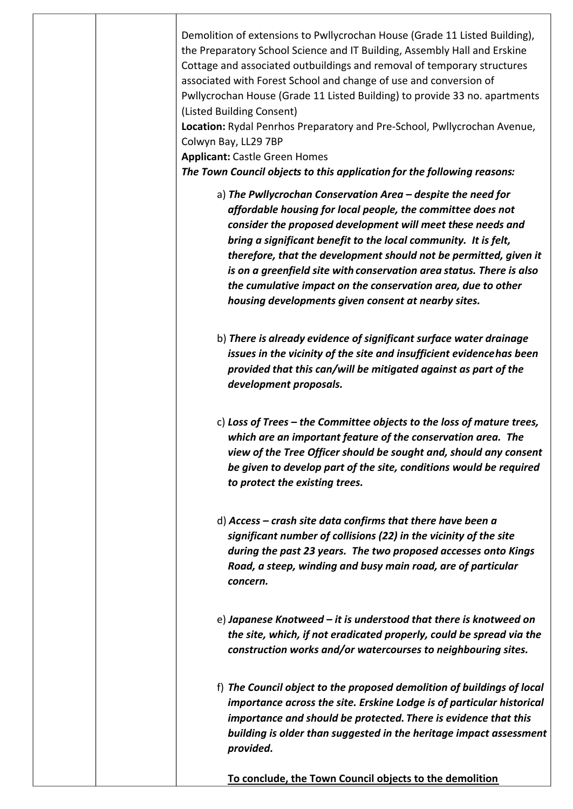| Demolition of extensions to Pwllycrochan House (Grade 11 Listed Building),<br>the Preparatory School Science and IT Building, Assembly Hall and Erskine<br>Cottage and associated outbuildings and removal of temporary structures<br>associated with Forest School and change of use and conversion of<br>Pwllycrochan House (Grade 11 Listed Building) to provide 33 no. apartments<br>(Listed Building Consent)<br>Location: Rydal Penrhos Preparatory and Pre-School, Pwllycrochan Avenue,<br>Colwyn Bay, LL29 7BP<br><b>Applicant: Castle Green Homes</b><br>The Town Council objects to this application for the following reasons: |
|-------------------------------------------------------------------------------------------------------------------------------------------------------------------------------------------------------------------------------------------------------------------------------------------------------------------------------------------------------------------------------------------------------------------------------------------------------------------------------------------------------------------------------------------------------------------------------------------------------------------------------------------|
|                                                                                                                                                                                                                                                                                                                                                                                                                                                                                                                                                                                                                                           |
| a) The Pwllycrochan Conservation Area – despite the need for<br>affordable housing for local people, the committee does not<br>consider the proposed development will meet these needs and<br>bring a significant benefit to the local community. It is felt,<br>therefore, that the development should not be permitted, given it<br>is on a greenfield site with conservation area status. There is also<br>the cumulative impact on the conservation area, due to other<br>housing developments given consent at nearby sites.                                                                                                         |
| b) There is already evidence of significant surface water drainage<br>issues in the vicinity of the site and insufficient evidencehas been<br>provided that this can/will be mitigated against as part of the<br>development proposals.                                                                                                                                                                                                                                                                                                                                                                                                   |
| c) Loss of Trees – the Committee objects to the loss of mature trees,<br>which are an important feature of the conservation area. The<br>view of the Tree Officer should be sought and, should any consent<br>be given to develop part of the site, conditions would be required<br>to protect the existing trees.                                                                                                                                                                                                                                                                                                                        |
| $d)$ Access – crash site data confirms that there have been a<br>significant number of collisions (22) in the vicinity of the site<br>during the past 23 years. The two proposed accesses onto Kings<br>Road, a steep, winding and busy main road, are of particular<br>concern.                                                                                                                                                                                                                                                                                                                                                          |
| $e$ ) Japanese Knotweed – it is understood that there is knotweed on<br>the site, which, if not eradicated properly, could be spread via the<br>construction works and/or watercourses to neighbouring sites.                                                                                                                                                                                                                                                                                                                                                                                                                             |
| f) The Council object to the proposed demolition of buildings of local<br>importance across the site. Erskine Lodge is of particular historical<br>importance and should be protected. There is evidence that this<br>building is older than suggested in the heritage impact assessment<br>provided.                                                                                                                                                                                                                                                                                                                                     |
| To conclude, the Town Council objects to the demolition                                                                                                                                                                                                                                                                                                                                                                                                                                                                                                                                                                                   |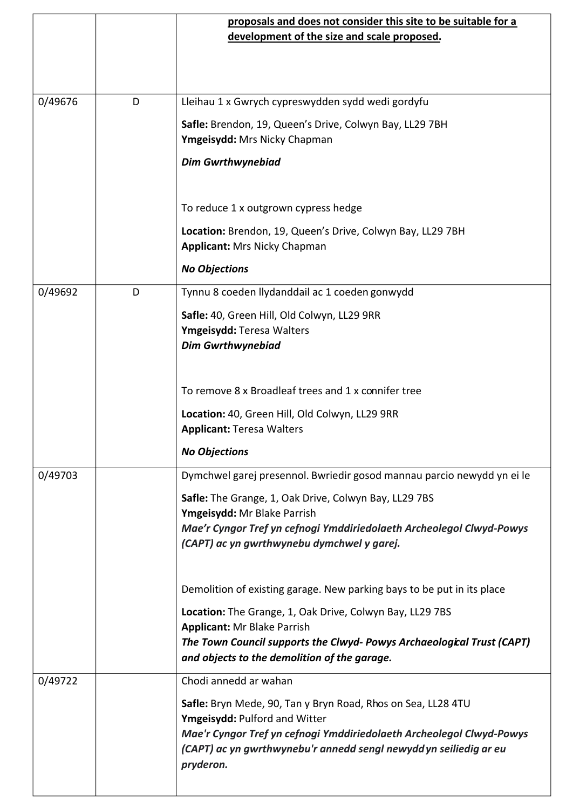|         |   | proposals and does not consider this site to be suitable for a<br>development of the size and scale proposed. |
|---------|---|---------------------------------------------------------------------------------------------------------------|
|         |   |                                                                                                               |
|         |   |                                                                                                               |
| 0/49676 | D | Lleihau 1 x Gwrych cypreswydden sydd wedi gordyfu                                                             |
|         |   | Safle: Brendon, 19, Queen's Drive, Colwyn Bay, LL29 7BH<br>Ymgeisydd: Mrs Nicky Chapman                       |
|         |   | <b>Dim Gwrthwynebiad</b>                                                                                      |
|         |   | To reduce 1 x outgrown cypress hedge                                                                          |
|         |   | Location: Brendon, 19, Queen's Drive, Colwyn Bay, LL29 7BH<br><b>Applicant: Mrs Nicky Chapman</b>             |
|         |   | <b>No Objections</b>                                                                                          |
| 0/49692 | D | Tynnu 8 coeden llydanddail ac 1 coeden gonwydd                                                                |
|         |   | Safle: 40, Green Hill, Old Colwyn, LL29 9RR                                                                   |
|         |   | Ymgeisydd: Teresa Walters                                                                                     |
|         |   | <b>Dim Gwrthwynebiad</b>                                                                                      |
|         |   | To remove 8 x Broadleaf trees and 1 x connifer tree                                                           |
|         |   | Location: 40, Green Hill, Old Colwyn, LL29 9RR                                                                |
|         |   | <b>Applicant: Teresa Walters</b>                                                                              |
|         |   | <b>No Objections</b>                                                                                          |
| 0/49703 |   | Dymchwel garej presennol. Bwriedir gosod mannau parcio newydd yn ei le                                        |
|         |   | Safle: The Grange, 1, Oak Drive, Colwyn Bay, LL29 7BS                                                         |
|         |   | Ymgeisydd: Mr Blake Parrish<br>Mae'r Cyngor Tref yn cefnogi Ymddiriedolaeth Archeolegol Clwyd-Powys           |
|         |   | (CAPT) ac yn gwrthwynebu dymchwel y garej.                                                                    |
|         |   |                                                                                                               |
|         |   | Demolition of existing garage. New parking bays to be put in its place                                        |
|         |   | Location: The Grange, 1, Oak Drive, Colwyn Bay, LL29 7BS                                                      |
|         |   | <b>Applicant: Mr Blake Parrish</b><br>The Town Council supports the Clwyd- Powys Archaeological Trust (CAPT)  |
|         |   | and objects to the demolition of the garage.                                                                  |
| 0/49722 |   | Chodi annedd ar wahan                                                                                         |
|         |   | Safle: Bryn Mede, 90, Tan y Bryn Road, Rhos on Sea, LL28 4TU                                                  |
|         |   | Ymgeisydd: Pulford and Witter<br>Mae'r Cyngor Tref yn cefnogi Ymddiriedolaeth Archeolegol Clwyd-Powys         |
|         |   | (CAPT) ac yn gwrthwynebu'r annedd sengl newydd yn seiliedig ar eu<br>pryderon.                                |
|         |   |                                                                                                               |